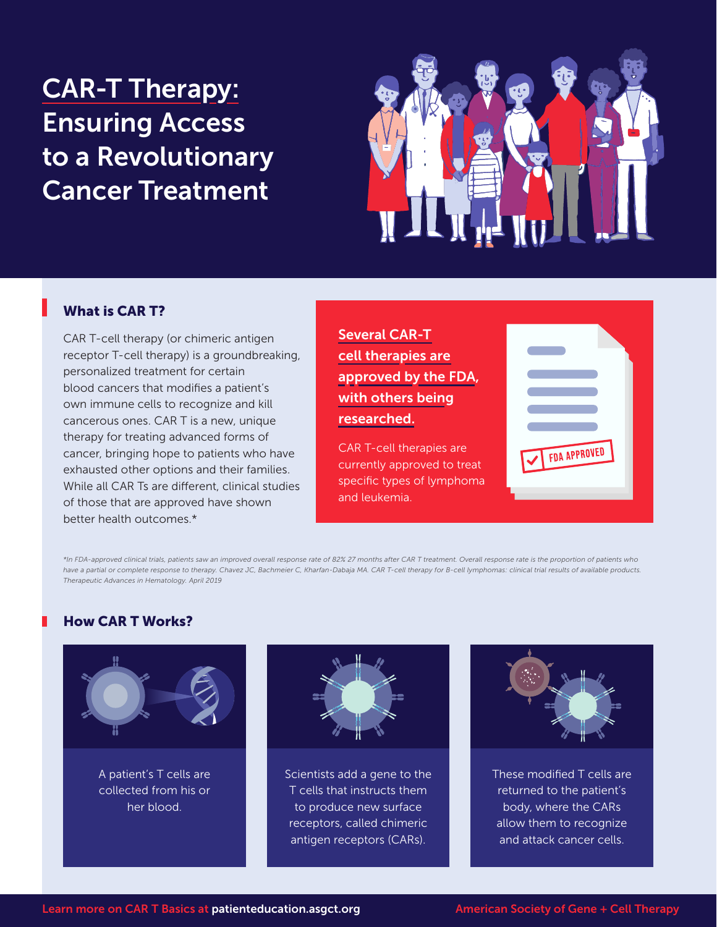# CAR-T Therapy: Ensuring Access to a Revolutionary Cancer Treatment



## What is CAR T?

CAR T-cell therapy (or chimeric antigen receptor T-cell therapy) is a groundbreaking, personalized treatment for certain blood cancers that modifies a patient's own immune cells to recognize and kill cancerous ones. CAR T is a new, unique therapy for treating advanced forms of cancer, bringing hope to patients who have exhausted other options and their families. While all CAR Ts are different, clinical studies of those that are approved have shown better health outcomes.\*

Several CAR-T cell therapies are approved by the FDA, with others being researched.

CAR T-cell therapies are currently approved to treat specific types of lymphoma and leukemia.



*\*In FDA-approved clinical trials, patients saw an improved overall response rate of 82% 27 months after CAR T treatment. Overall response rate is the proportion of patients who*  have a partial or complete response to therapy. Chavez JC, Bachmeier C, Kharfan-Dabaja MA. CAR T-cell therapy for B-cell lymphomas: clinical trial results of available products. *Therapeutic Advances in Hematology. April 2019* 

## How CAR T Works?



A patient's T cells are collected from his or her blood.



Scientists add a gene to the T cells that instructs them to produce new surface receptors, called chimeric antigen receptors (CARs).



These modified T cells are returned to the patient's body, where the CARs allow them to recognize and attack cancer cells.